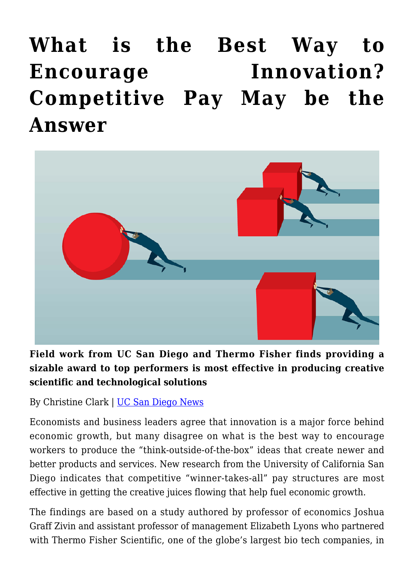**[What is the Best Way to](https://gpsnews.ucsd.edu/what-is-the-best-way-to-encourage-innovation-competitive-pay-may-be-the-answer/) [Encourage Innovation?](https://gpsnews.ucsd.edu/what-is-the-best-way-to-encourage-innovation-competitive-pay-may-be-the-answer/) [Competitive Pay May be the](https://gpsnews.ucsd.edu/what-is-the-best-way-to-encourage-innovation-competitive-pay-may-be-the-answer/) [Answer](https://gpsnews.ucsd.edu/what-is-the-best-way-to-encourage-innovation-competitive-pay-may-be-the-answer/)**



**Field work from UC San Diego and Thermo Fisher finds providing a sizable award to top performers is most effective in producing creative scientific and technological solutions**

By Christine Clark | [UC San Diego News](https://ucsdnews.ucsd.edu/pressrelease/what-is-the-best-way-to-encourage-innovation-competitive-pay-may-be-the-answer)

Economists and business leaders agree that innovation is a major force behind economic growth, but many disagree on what is the best way to encourage workers to produce the "think-outside-of-the-box" ideas that create newer and better products and services. New research from the University of California San Diego indicates that competitive "winner-takes-all" pay structures are most effective in getting the creative juices flowing that help fuel economic growth.

The findings are based on a study authored by professor of economics Joshua Graff Zivin and assistant professor of management Elizabeth Lyons who partnered with Thermo Fisher Scientific, one of the globe's largest bio tech companies, in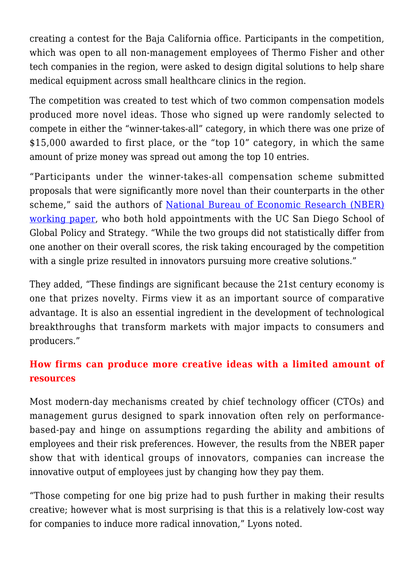creating a contest for the Baja California office. Participants in the competition, which was open to all non-management employees of Thermo Fisher and other tech companies in the region, were asked to design digital solutions to help share medical equipment across small healthcare clinics in the region.

The competition was created to test which of two common compensation models produced more novel ideas. Those who signed up were randomly selected to compete in either the "winner-takes-all" category, in which there was one prize of \$15,000 awarded to first place, or the "top 10" category, in which the same amount of prize money was spread out among the top 10 entries.

"Participants under the winner-takes-all compensation scheme submitted proposals that were significantly more novel than their counterparts in the other scheme," said the authors of [National Bureau of Economic Research \(NBER\)](https://www.nber.org/papers/w26737) [working paper](https://www.nber.org/papers/w26737), who both hold appointments with the UC San Diego School of Global Policy and Strategy. "While the two groups did not statistically differ from one another on their overall scores, the risk taking encouraged by the competition with a single prize resulted in innovators pursuing more creative solutions."

They added, "These findings are significant because the 21st century economy is one that prizes novelty. Firms view it as an important source of comparative advantage. It is also an essential ingredient in the development of technological breakthroughs that transform markets with major impacts to consumers and producers."

## **How firms can produce more creative ideas with a limited amount of resources**

Most modern-day mechanisms created by chief technology officer (CTOs) and management gurus designed to spark innovation often rely on performancebased-pay and hinge on assumptions regarding the ability and ambitions of employees and their risk preferences. However, the results from the NBER paper show that with identical groups of innovators, companies can increase the innovative output of employees just by changing how they pay them.

"Those competing for one big prize had to push further in making their results creative; however what is most surprising is that this is a relatively low-cost way for companies to induce more radical innovation," Lyons noted.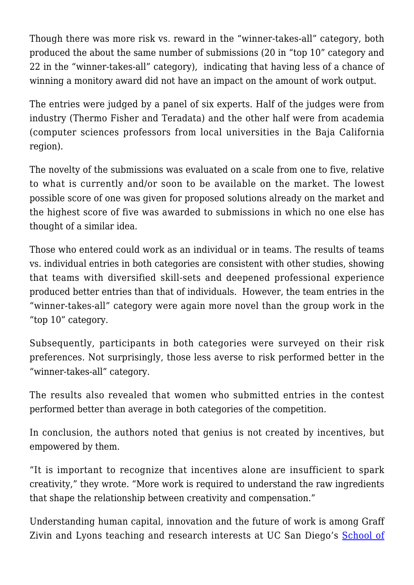Though there was more risk vs. reward in the "winner-takes-all" category, both produced the about the same number of submissions (20 in "top 10" category and 22 in the "winner-takes-all" category), indicating that having less of a chance of winning a monitory award did not have an impact on the amount of work output.

The entries were judged by a panel of six experts. Half of the judges were from industry (Thermo Fisher and Teradata) and the other half were from academia (computer sciences professors from local universities in the Baja California region).

The novelty of the submissions was evaluated on a scale from one to five, relative to what is currently and/or soon to be available on the market. The lowest possible score of one was given for proposed solutions already on the market and the highest score of five was awarded to submissions in which no one else has thought of a similar idea.

Those who entered could work as an individual or in teams. The results of teams vs. individual entries in both categories are consistent with other studies, showing that teams with diversified skill-sets and deepened professional experience produced better entries than that of individuals. However, the team entries in the "winner-takes-all" category were again more novel than the group work in the "top 10" category.

Subsequently, participants in both categories were surveyed on their risk preferences. Not surprisingly, those less averse to risk performed better in the "winner-takes-all" category.

The results also revealed that women who submitted entries in the contest performed better than average in both categories of the competition.

In conclusion, the authors noted that genius is not created by incentives, but empowered by them.

"It is important to recognize that incentives alone are insufficient to spark creativity," they wrote. "More work is required to understand the raw ingredients that shape the relationship between creativity and compensation."

Understanding human capital, innovation and the future of work is among Graff Zivin and Lyons teaching and research interests at UC San Diego's [School of](https://gps.ucsd.edu/index.html)